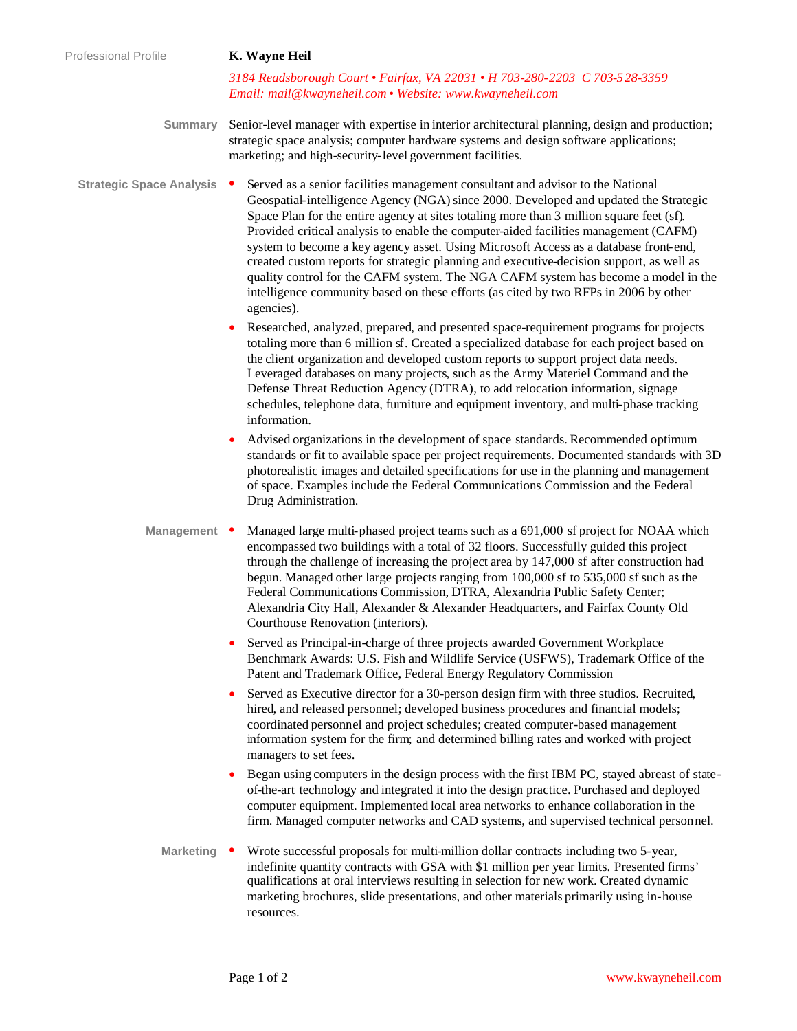*3184 Readsborough Court • Fairfax, VA 22031 • H 703-280-2203 C 703-528-3359 Email: mail@kwayneheil.com • Website: www.kwayneheil.com*

- **Summary** Senior-level manager with expertise in interior architectural planning, design and production; strategic space analysis; computer hardware systems and design software applications; marketing; and high-security-level government facilities.
- **Strategic Space Analysis •** Served as a senior facilities management consultant and advisor to the National Geospatial-intelligence Agency (NGA) since 2000. Developed and updated the Strategic Space Plan for the entire agency at sites totaling more than 3 million square feet (sf). Provided critical analysis to enable the computer-aided facilities management (CAFM) system to become a key agency asset. Using Microsoft Access as a database front-end, created custom reports for strategic planning and executive-decision support, as well as quality control for the CAFM system. The NGA CAFM system has become a model in the intelligence community based on these efforts (as cited by two RFPs in 2006 by other agencies).
	- Researched, analyzed, prepared, and presented space-requirement programs for projects totaling more than 6 million sf. Created a specialized database for each project based on the client organization and developed custom reports to support project data needs. Leveraged databases on many projects, such as the Army Materiel Command and the Defense Threat Reduction Agency (DTRA), to add relocation information, signage schedules, telephone data, furniture and equipment inventory, and multi-phase tracking information.
	- Advised organizations in the development of space standards. Recommended optimum standards or fit to available space per project requirements. Documented standards with 3D photorealistic images and detailed specifications for use in the planning and management of space. Examples include the Federal Communications Commission and the Federal Drug Administration.
	- **Management** Managed large multi-phased project teams such as a 691,000 sf project for NOAA which encompassed two buildings with a total of 32 floors. Successfully guided this project through the challenge of increasing the project area by 147,000 sf after construction had begun. Managed other large projects ranging from 100,000 sf to 535,000 sf such as the Federal Communications Commission, DTRA, Alexandria Public Safety Center; Alexandria City Hall, Alexander & Alexander Headquarters, and Fairfax County Old Courthouse Renovation (interiors).
		- Served as Principal-in-charge of three projects awarded Government Workplace Benchmark Awards: U.S. Fish and Wildlife Service (USFWS), Trademark Office of the Patent and Trademark Office, Federal Energy Regulatory Commission
		- Served as Executive director for a 30-person design firm with three studios. Recruited, hired, and released personnel; developed business procedures and financial models; coordinated personnel and project schedules; created computer-based management information system for the firm; and determined billing rates and worked with project managers to set fees.
		- Began using computers in the design process with the first IBM PC, stayed abreast of stateof-the-art technology and integrated it into the design practice. Purchased and deployed computer equipment. Implemented local area networks to enhance collaboration in the firm. Managed computer networks and CAD systems, and supervised technical personnel.
		- Marketing Wrote successful proposals for multi-million dollar contracts including two 5-year, indefinite quantity contracts with GSA with \$1 million per year limits. Presented firms' qualifications at oral interviews resulting in selection for new work. Created dynamic marketing brochures, slide presentations, and other materials primarily using in-house resources.